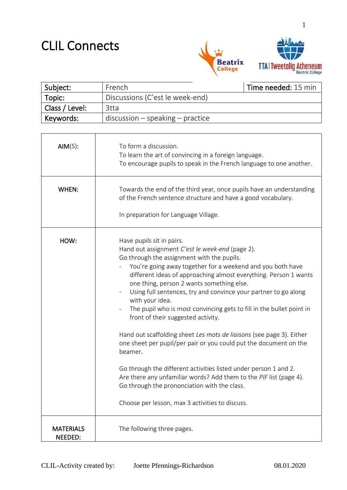### CLIL Connects



1

| Subject:       | French                             | Time needed: 15 min |
|----------------|------------------------------------|---------------------|
| Topic:         | Discussions (C'est le week-end)    |                     |
| Class / Level: | 3tta                               |                     |
| Keywords:      | $discussion - speaking - practice$ |                     |

| AIM(S):                     | To form a discussion.<br>To learn the art of convincing in a foreign language.<br>To encourage pupils to speak in the French language to one another.                                                                                                                                                                                                                                                                                                                                                                                                                                                                                                                 |  |
|-----------------------------|-----------------------------------------------------------------------------------------------------------------------------------------------------------------------------------------------------------------------------------------------------------------------------------------------------------------------------------------------------------------------------------------------------------------------------------------------------------------------------------------------------------------------------------------------------------------------------------------------------------------------------------------------------------------------|--|
| WHEN:                       | Towards the end of the third year, once pupils have an understanding<br>of the French sentence structure and have a good vocabulary.<br>In preparation for Language Village.                                                                                                                                                                                                                                                                                                                                                                                                                                                                                          |  |
|                             |                                                                                                                                                                                                                                                                                                                                                                                                                                                                                                                                                                                                                                                                       |  |
| HOW:                        | Have pupils sit in pairs.<br>Hand out assignment C'est le week-end (page 2).<br>Go through the assignment with the pupils.<br>You're going away together for a weekend and you both have<br>different ideas of approaching almost everything. Person 1 wants<br>one thing, person 2 wants something else.<br>Using full sentences, try and convince your partner to go along<br>with your idea.<br>The pupil who is most convincing gets to fill in the bullet point in<br>front of their suggested activity.<br>Hand out scaffolding sheet Les mots de liaisons (see page 3). Either<br>one sheet per pupil/per pair or you could put the document on the<br>beamer. |  |
|                             | Go through the different activities listed under person 1 and 2.<br>Are there any unfamiliar words? Add them to the PIF list (page 4).<br>Go through the prononciation with the class.<br>Choose per lesson, max 3 activities to discuss.                                                                                                                                                                                                                                                                                                                                                                                                                             |  |
|                             |                                                                                                                                                                                                                                                                                                                                                                                                                                                                                                                                                                                                                                                                       |  |
| <b>MATERIALS</b><br>NEEDED: | The following three pages.                                                                                                                                                                                                                                                                                                                                                                                                                                                                                                                                                                                                                                            |  |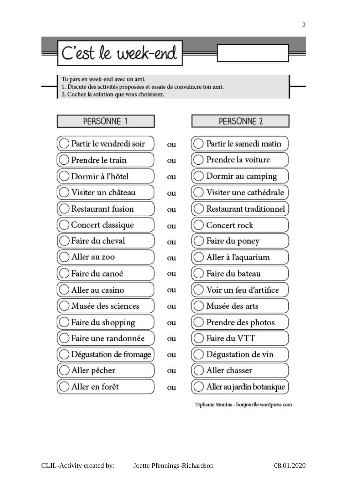# C'est le week-end

Tu pars en week-end avec un ami.

1. Discute des activités proposées et essaie de convaincre ton ami.

2. Cochez la solution que vous choisissez.

## PERSONNE 1 Partir le vendredi soir ) Prendre le train Dormir à l'hôtel Visiter un château Restaurant fusion Concert classique Faire du cheval Aller au zoo Faire du canoé Aller au casino ) Musée des sciences Faire du shopping Faire une randonnée ) Dégustation de fromage Aller pêcher Aller en forêt



Tiphanie Montus - bonjourfle.wordpress.com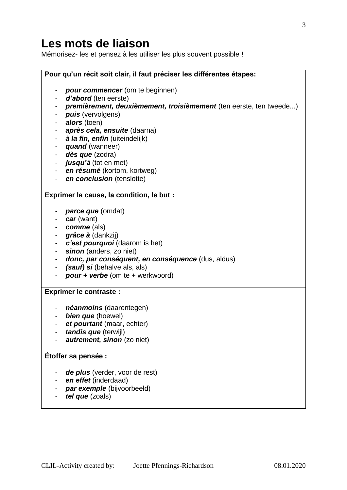#### **Les mots de liaison**

Mémorisez- les et pensez à les utiliser les plus souvent possible !

|                                        | Pour qu'un récit soit clair, il faut préciser les différentes étapes:                                                                                                                                                                                                                                                                                                 |  |  |
|----------------------------------------|-----------------------------------------------------------------------------------------------------------------------------------------------------------------------------------------------------------------------------------------------------------------------------------------------------------------------------------------------------------------------|--|--|
|                                        | pour commencer (om te beginnen)<br>d'abord (ten eerste)<br>premièrement, deuxièmement, troisièmement (ten eerste, ten tweede)<br><i>puis</i> (vervolgens)<br>alors (toen)<br>après cela, ensuite (daarna)<br>à la fin, enfin (uiteindelijk)<br>quand (wanneer)<br>dès que (zodra)<br>jusqu'à (tot en met)<br>en résumé (kortom, kortweg)<br>en conclusion (tenslotte) |  |  |
|                                        | Exprimer la cause, la condition, le but :                                                                                                                                                                                                                                                                                                                             |  |  |
|                                        |                                                                                                                                                                                                                                                                                                                                                                       |  |  |
| -<br>٠<br>$\qquad \qquad \blacksquare$ | <b>parce que</b> (omdat)<br>car (want)<br>comme (als)<br>grâce à (dankzij)<br>c'est pourquoi (daarom is het)<br>sinon (anders, zo niet)<br>donc, par conséquent, en conséquence (dus, aldus)<br>(sauf) si (behalve als, als)<br>$pour + verbe (om te + werkwoord)$                                                                                                    |  |  |
| <b>Exprimer le contraste :</b>         |                                                                                                                                                                                                                                                                                                                                                                       |  |  |
| ۰                                      | néanmoins (daarentegen)<br>bien que (hoewel)<br>et pourtant (maar, echter)<br>tandis que (terwijl)<br><b>autrement, sinon</b> (zo niet)                                                                                                                                                                                                                               |  |  |
| Étoffer sa pensée :                    |                                                                                                                                                                                                                                                                                                                                                                       |  |  |
|                                        | de plus (verder, voor de rest)<br>en effet (inderdaad)<br>par exemple (bijvoorbeeld)<br>tel que (zoals)                                                                                                                                                                                                                                                               |  |  |